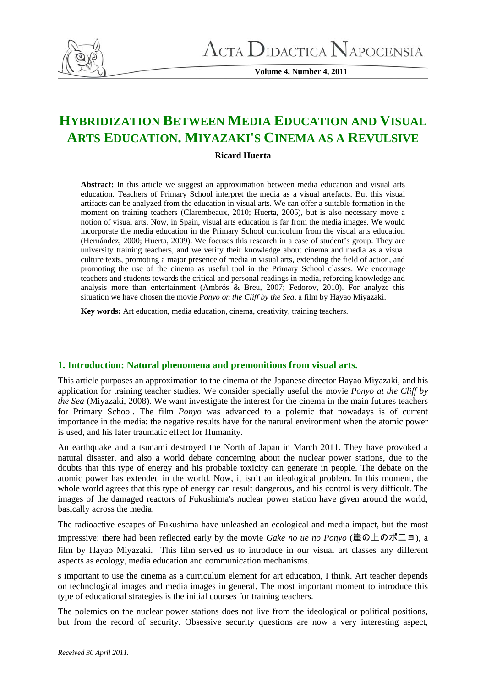

**Volume 4, Number 4, 2011** 

# **HYBRIDIZATION BETWEEN MEDIA EDUCATION AND VISUAL ARTS EDUCATION. MIYAZAKI'S CINEMA AS A REVULSIVE**

## **Ricard Huerta**

**Abstract:** In this article we suggest an approximation between media education and visual arts education. Teachers of Primary School interpret the media as a visual artefacts. But this visual artifacts can be analyzed from the education in visual arts. We can offer a suitable formation in the moment on training teachers (Clarembeaux, 2010; Huerta, 2005), but is also necessary move a notion of visual arts. Now, in Spain, visual arts education is far from the media images. We would incorporate the media education in the Primary School curriculum from the visual arts education (Hernández, 2000; Huerta, 2009). We focuses this research in a case of student's group. They are university training teachers, and we verify their knowledge about cinema and media as a visual culture texts, promoting a major presence of media in visual arts, extending the field of action, and promoting the use of the cinema as useful tool in the Primary School classes. We encourage teachers and students towards the critical and personal readings in media, reforcing knowledge and analysis more than entertainment (Ambrós & Breu, 2007; Fedorov, 2010). For analyze this situation we have chosen the movie *Ponyo on the Cliff by the Sea*, a film by Hayao Miyazaki.

**Key words:** Art education, media education, cinema, creativity, training teachers.

# **1. Introduction: Natural phenomena and premonitions from visual arts.**

This article purposes an approximation to the cinema of the Japanese director Hayao Miyazaki, and his application for training teacher studies. We consider specially useful the movie *Ponyo at the Cliff by the Sea* (Miyazaki, 2008). We want investigate the interest for the cinema in the main futures teachers for Primary School. The film *Ponyo* was advanced to a polemic that nowadays is of current importance in the media: the negative results have for the natural environment when the atomic power is used, and his later traumatic effect for Humanity.

An earthquake and a tsunami destroyed the North of Japan in March 2011. They have provoked a natural disaster, and also a world debate concerning about the nuclear power stations, due to the doubts that this type of energy and his probable toxicity can generate in people. The debate on the atomic power has extended in the world. Now, it isn't an ideological problem. In this moment, the whole world agrees that this type of energy can result dangerous, and his control is very difficult. The images of the damaged reactors of Fukushima's nuclear power station have given around the world, basically across the media.

The radioactive escapes of Fukushima have unleashed an ecological and media impact, but the most impressive: there had been reflected early by the movie *Gake no ue no Ponyo* (崖の上のポニョ), a film by Hayao Miyazaki. This film served us to introduce in our visual art classes any different aspects as ecology, media education and communication mechanisms.

s important to use the cinema as a curriculum element for art education, I think. Art teacher depends on technological images and media images in general. The most important moment to introduce this type of educational strategies is the initial courses for training teachers.

The polemics on the nuclear power stations does not live from the ideological or political positions, but from the record of security. Obsessive security questions are now a very interesting aspect,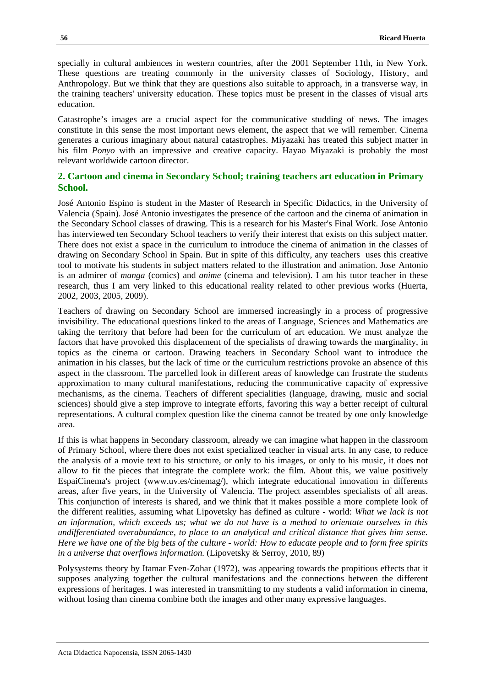specially in cultural ambiences in western countries, after the 2001 September 11th, in New York. These questions are treating commonly in the university classes of Sociology, History, and Anthropology. But we think that they are questions also suitable to approach, in a transverse way, in the training teachers' university education. These topics must be present in the classes of visual arts education.

Catastrophe's images are a crucial aspect for the communicative studding of news. The images constitute in this sense the most important news element, the aspect that we will remember. Cinema generates a curious imaginary about natural catastrophes. Miyazaki has treated this subject matter in his film *Ponyo* with an impressive and creative capacity. Hayao Miyazaki is probably the most relevant worldwide cartoon director.

## **2. Cartoon and cinema in Secondary School; training teachers art education in Primary School.**

José Antonio Espino is student in the Master of Research in Specific Didactics, in the University of Valencia (Spain). José Antonio investigates the presence of the cartoon and the cinema of animation in the Secondary School classes of drawing. This is a research for his Master's Final Work. Jose Antonio has interviewed ten Secondary School teachers to verify their interest that exists on this subject matter. There does not exist a space in the curriculum to introduce the cinema of animation in the classes of drawing on Secondary School in Spain. But in spite of this difficulty, any teachers uses this creative tool to motivate his students in subject matters related to the illustration and animation. Jose Antonio is an admirer of *manga* (comics) and *anime* (cinema and television). I am his tutor teacher in these research, thus I am very linked to this educational reality related to other previous works (Huerta, 2002, 2003, 2005, 2009).

Teachers of drawing on Secondary School are immersed increasingly in a process of progressive invisibility. The educational questions linked to the areas of Language, Sciences and Mathematics are taking the territory that before had been for the curriculum of art education. We must analyze the factors that have provoked this displacement of the specialists of drawing towards the marginality, in topics as the cinema or cartoon. Drawing teachers in Secondary School want to introduce the animation in his classes, but the lack of time or the curriculum restrictions provoke an absence of this aspect in the classroom. The parcelled look in different areas of knowledge can frustrate the students approximation to many cultural manifestations, reducing the communicative capacity of expressive mechanisms, as the cinema. Teachers of different specialities (language, drawing, music and social sciences) should give a step improve to integrate efforts, favoring this way a better receipt of cultural representations. A cultural complex question like the cinema cannot be treated by one only knowledge area.

If this is what happens in Secondary classroom, already we can imagine what happen in the classroom of Primary School, where there does not exist specialized teacher in visual arts. In any case, to reduce the analysis of a movie text to his structure, or only to his images, or only to his music, it does not allow to fit the pieces that integrate the complete work: the film. About this, we value positively EspaiCinema's project (www.uv.es/cinemag/), which integrate educational innovation in differents areas, after five years, in the University of Valencia. The project assembles specialists of all areas. This conjunction of interests is shared, and we think that it makes possible a more complete look of the different realities, assuming what Lipovetsky has defined as culture - world: *What we lack is not an information, which exceeds us; what we do not have is a method to orientate ourselves in this undifferentiated overabundance, to place to an analytical and critical distance that gives him sense. Here we have one of the big bets of the culture - world: How to educate people and to form free spirits in a universe that overflows information.* (Lipovetsky & Serroy, 2010, 89)

Polysystems theory by Itamar Even-Zohar (1972), was appearing towards the propitious effects that it supposes analyzing together the cultural manifestations and the connections between the different expressions of heritages. I was interested in transmitting to my students a valid information in cinema, without losing than cinema combine both the images and other many expressive languages.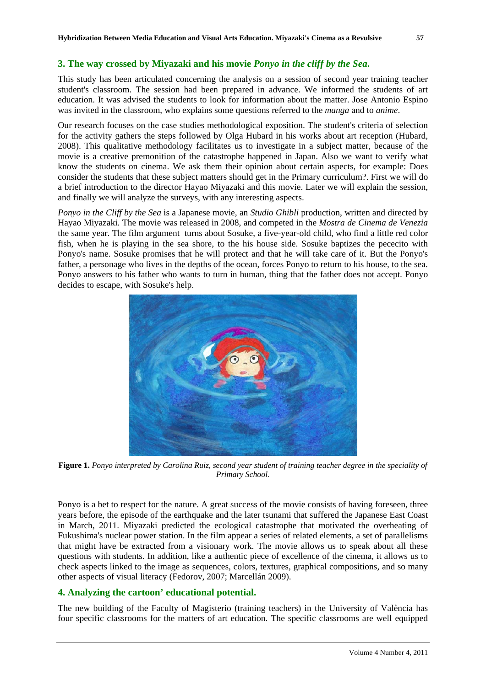This study has been articulated concerning the analysis on a session of second year training teacher student's classroom. The session had been prepared in advance. We informed the students of art education. It was advised the students to look for information about the matter. Jose Antonio Espino was invited in the classroom, who explains some questions referred to the *manga* and to *anime*.

Our research focuses on the case studies methodological exposition. The student's criteria of selection for the activity gathers the steps followed by Olga Hubard in his works about art reception (Hubard, 2008). This qualitative methodology facilitates us to investigate in a subject matter, because of the movie is a creative premonition of the catastrophe happened in Japan. Also we want to verify what know the students on cinema. We ask them their opinion about certain aspects, for example: Does consider the students that these subject matters should get in the Primary curriculum?. First we will do a brief introduction to the director Hayao Miyazaki and this movie. Later we will explain the session, and finally we will analyze the surveys, with any interesting aspects.

*Ponyo in the Cliff by the Sea* is a Japanese movie, an *Studio Ghibli* production, written and directed by Hayao Miyazaki*.* The movie was released in 2008, and competed in the *Mostra de Cinema de Venezia* the same year. The film argument turns about Sosuke, a five-year-old child, who find a little red color fish, when he is playing in the sea shore, to the his house side. Sosuke baptizes the pececito with Ponyo's name. Sosuke promises that he will protect and that he will take care of it. But the Ponyo's father, a personage who lives in the depths of the ocean, forces Ponyo to return to his house, to the sea. Ponyo answers to his father who wants to turn in human, thing that the father does not accept. Ponyo decides to escape, with Sosuke's help.



**Figure 1.** *Ponyo interpreted by Carolina Ruiz, second year student of training teacher degree in the speciality of Primary School.* 

Ponyo is a bet to respect for the nature. A great success of the movie consists of having foreseen, three years before, the episode of the earthquake and the later tsunami that suffered the Japanese East Coast in March, 2011. Miyazaki predicted the ecological catastrophe that motivated the overheating of Fukushima's nuclear power station. In the film appear a series of related elements, a set of parallelisms that might have be extracted from a visionary work. The movie allows us to speak about all these questions with students. In addition, like a authentic piece of excellence of the cinema, it allows us to check aspects linked to the image as sequences, colors, textures, graphical compositions, and so many other aspects of visual literacy (Fedorov, 2007; Marcellán 2009).

### **4. Analyzing the cartoon' educational potential.**

The new building of the Faculty of Magisterio (training teachers) in the University of València has four specific classrooms for the matters of art education. The specific classrooms are well equipped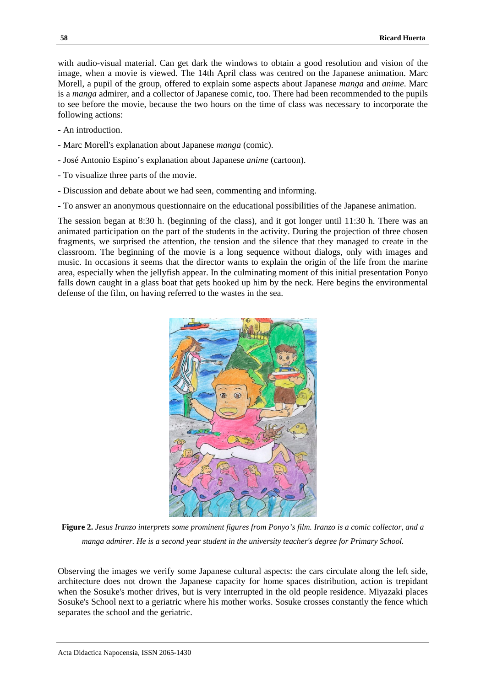with audio-visual material. Can get dark the windows to obtain a good resolution and vision of the image, when a movie is viewed. The 14th April class was centred on the Japanese animation. Marc Morell, a pupil of the group, offered to explain some aspects about Japanese *manga* and *anime*. Marc is a *manga* admirer, and a collector of Japanese comic, too. There had been recommended to the pupils to see before the movie, because the two hours on the time of class was necessary to incorporate the following actions:

- An introduction.
- Marc Morell's explanation about Japanese *manga* (comic).
- José Antonio Espino's explanation about Japanese *anime* (cartoon).
- To visualize three parts of the movie.
- Discussion and debate about we had seen, commenting and informing.
- To answer an anonymous questionnaire on the educational possibilities of the Japanese animation.

The session began at 8:30 h. (beginning of the class), and it got longer until 11:30 h. There was an animated participation on the part of the students in the activity. During the projection of three chosen fragments, we surprised the attention, the tension and the silence that they managed to create in the classroom. The beginning of the movie is a long sequence without dialogs, only with images and music. In occasions it seems that the director wants to explain the origin of the life from the marine area, especially when the jellyfish appear. In the culminating moment of this initial presentation Ponyo falls down caught in a glass boat that gets hooked up him by the neck. Here begins the environmental defense of the film, on having referred to the wastes in the sea.



**Figure 2.** *Jesus Iranzo interprets some prominent figures from Ponyo's film. Iranzo is a comic collector, and a manga admirer. He is a second year student in the university teacher's degree for Primary School.*

Observing the images we verify some Japanese cultural aspects: the cars circulate along the left side, architecture does not drown the Japanese capacity for home spaces distribution, action is trepidant when the Sosuke's mother drives, but is very interrupted in the old people residence. Miyazaki places Sosuke's School next to a geriatric where his mother works. Sosuke crosses constantly the fence which separates the school and the geriatric.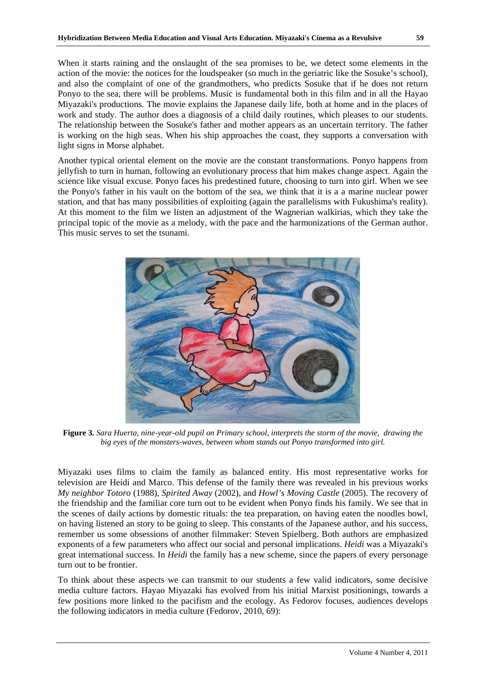When it starts raining and the onslaught of the sea promises to be, we detect some elements in the action of the movie: the notices for the loudspeaker (so much in the geriatric like the Sosuke's school), and also the complaint of one of the grandmothers, who predicts Sosuke that if he does not return Ponyo to the sea, there will be problems. Music is fundamental both in this film and in all the Hayao Miyazaki's productions. The movie explains the Japanese daily life, both at home and in the places of work and study. The author does a diagnosis of a child daily routines, which pleases to our students. The relationship between the Sosuke's father and mother appears as an uncertain territory. The father is working on the high seas. When his ship approaches the coast, they supports a conversation with light signs in Morse alphabet.

Another typical oriental element on the movie are the constant transformations. Ponyo happens from jellyfish to turn in human, following an evolutionary process that him makes change aspect. Again the science like visual excuse. Ponyo faces his predestined future, choosing to turn into girl. When we see the Ponyo's father in his vault on the bottom of the sea, we think that it is a a marine nuclear power station, and that has many possibilities of exploiting (again the parallelisms with Fukushima's reality). At this moment to the film we listen an adjustment of the Wagnerian walkirias, which they take the principal topic of the movie as a melody, with the pace and the harmonizations of the German author. This music serves to set the tsunami.



**Figure 3.** *Sara Huerta, nine-year-old pupil on Primary school, interprets the storm of the movie, drawing the big eyes of the monsters-waves, between whom stands out Ponyo transformed into girl.* 

Miyazaki uses films to claim the family as balanced entity. His most representative works for television are Heidi and Marco. This defense of the family there was revealed in his previous works *My neighbor Totoro* (1988), *Spirited Away* (2002), and *Howl's Moving Castle* (2005). The recovery of the friendship and the familiar core turn out to be evident when Ponyo finds his family. We see that in the scenes of daily actions by domestic rituals: the tea preparation, on having eaten the noodles bowl, on having listened an story to be going to sleep. This constants of the Japanese author, and his success, remember us some obsessions of another filmmaker: Steven Spielberg. Both authors are emphasized exponents of a few parameters who affect our social and personal implications. *Heidi* was a Miyazaki's great international success. In *Heidi* the family has a new scheme, since the papers of every personage turn out to be frontier.

To think about these aspects we can transmit to our students a few valid indicators, some decisive media culture factors. Hayao Miyazaki has evolved from his initial Marxist positionings, towards a few positions more linked to the pacifism and the ecology. As Fedorov focuses, audiences develops the following indicators in media culture (Fedorov, 2010, 69):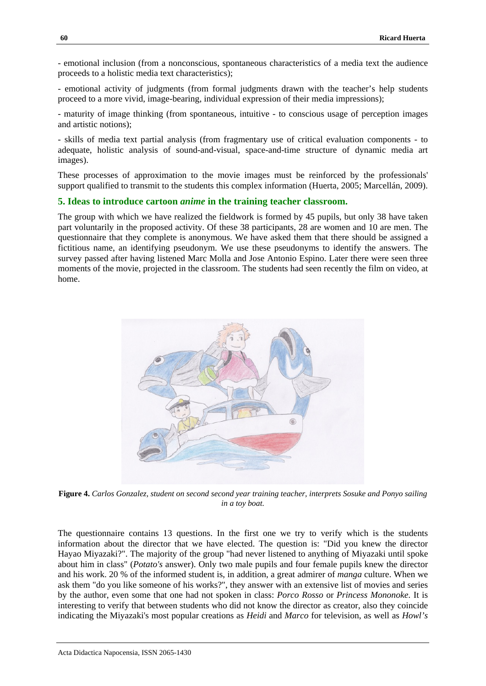- emotional inclusion (from a nonconscious, spontaneous characteristics of a media text the audience proceeds to a holistic media text characteristics);

- emotional activity of judgments (from formal judgments drawn with the teacher's help students proceed to a more vivid, image-bearing, individual expression of their media impressions);

- maturity of image thinking (from spontaneous, intuitive - to conscious usage of perception images and artistic notions);

- skills of media text partial analysis (from fragmentary use of critical evaluation components - to adequate, holistic analysis of sound-and-visual, space-and-time structure of dynamic media art images).

These processes of approximation to the movie images must be reinforced by the professionals' support qualified to transmit to the students this complex information (Huerta, 2005; Marcellán, 2009).

#### **5. Ideas to introduce cartoon** *anime* **in the training teacher classroom.**

The group with which we have realized the fieldwork is formed by 45 pupils, but only 38 have taken part voluntarily in the proposed activity. Of these 38 participants, 28 are women and 10 are men. The questionnaire that they complete is anonymous. We have asked them that there should be assigned a fictitious name, an identifying pseudonym. We use these pseudonyms to identify the answers. The survey passed after having listened Marc Molla and Jose Antonio Espino. Later there were seen three moments of the movie, projected in the classroom. The students had seen recently the film on video, at home.



**Figure 4.** *Carlos Gonzalez, student on second second year training teacher, interprets Sosuke and Ponyo sailing in a toy boat.*

The questionnaire contains 13 questions. In the first one we try to verify which is the students information about the director that we have elected. The question is: "Did you knew the director Hayao Miyazaki?". The majority of the group "had never listened to anything of Miyazaki until spoke about him in class" (*Potato's* answer). Only two male pupils and four female pupils knew the director and his work. 20 % of the informed student is, in addition, a great admirer of *manga* culture. When we ask them "do you like someone of his works?", they answer with an extensive list of movies and series by the author, even some that one had not spoken in class: *Porco Rosso* or *Princess Mononoke*. It is interesting to verify that between students who did not know the director as creator, also they coincide indicating the Miyazaki's most popular creations as *Heidi* and *Marco* for television, as well as *Howl's*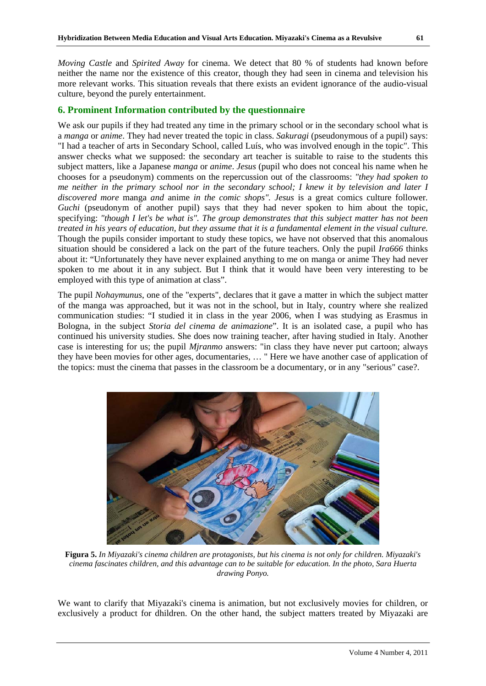*Moving Castle* and *Spirited Away* for cinema. We detect that 80 % of students had known before neither the name nor the existence of this creator, though they had seen in cinema and television his more relevant works. This situation reveals that there exists an evident ignorance of the audio-visual culture, beyond the purely entertainment.

## **6. Prominent Information contributed by the questionnaire**

We ask our pupils if they had treated any time in the primary school or in the secondary school what is a *manga* or *anime*. They had never treated the topic in class. *Sakuragi* (pseudonymous of a pupil) says: "I had a teacher of arts in Secondary School, called Luís, who was involved enough in the topic". This answer checks what we supposed: the secondary art teacher is suitable to raise to the students this subject matters, like a Japanese *manga* or *anime*. *Jesus* (pupil who does not conceal his name when he chooses for a pseudonym) comments on the repercussion out of the classrooms: *"they had spoken to me neither in the primary school nor in the secondary school; I knew it by television and later I discovered more* manga *and* anime *in the comic shops". Jesus* is a great comics culture follower*. Guchi* (pseudonym of another pupil) says that they had never spoken to him about the topic, specifying: *"though I let's be what is". The group demonstrates that this subject matter has not been treated in his years of education, but they assume that it is a fundamental element in the visual culture.*  Though the pupils consider important to study these topics, we have not observed that this anomalous situation should be considered a lack on the part of the future teachers. Only the pupil *Ira666* thinks about it: "Unfortunately they have never explained anything to me on manga or anime They had never spoken to me about it in any subject. But I think that it would have been very interesting to be employed with this type of animation at class".

The pupil *Nohaymunus*, one of the "experts", declares that it gave a matter in which the subject matter of the manga was approached, but it was not in the school, but in Italy, country where she realized communication studies: "I studied it in class in the year 2006, when I was studying as Erasmus in Bologna, in the subject *Storia del cinema de animazione*". It is an isolated case, a pupil who has continued his university studies. She does now training teacher, after having studied in Italy. Another case is interesting for us; the pupil *Mjranmo* answers: "in class they have never put cartoon; always they have been movies for other ages, documentaries, … " Here we have another case of application of the topics: must the cinema that passes in the classroom be a documentary, or in any "serious" case?.



**Figura 5.** *In Miyazaki's cinema children are protagonists, but his cinema is not only for children. Miyazaki's cinema fascinates children, and this advantage can to be suitable for education. In the photo, Sara Huerta drawing Ponyo.*

We want to clarify that Miyazaki's cinema is animation, but not exclusively movies for children, or exclusively a product for dhildren. On the other hand, the subject matters treated by Miyazaki are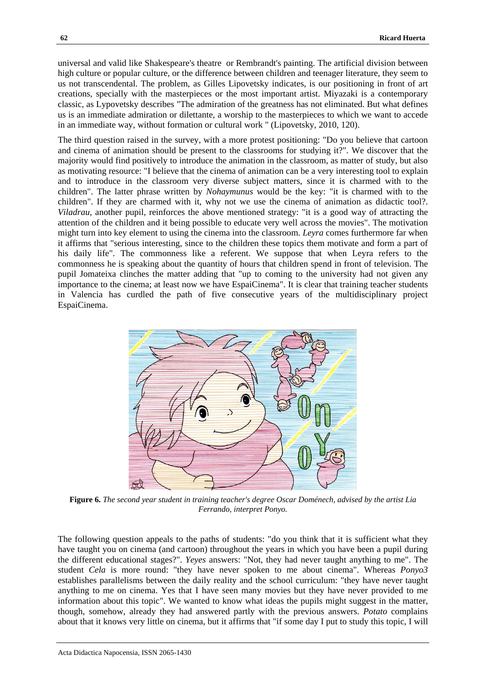universal and valid like Shakespeare's theatre or Rembrandt's painting. The artificial division between high culture or popular culture, or the difference between children and teenager literature, they seem to us not transcendental. The problem, as Gilles Lipovetsky indicates, is our positioning in front of art creations, specially with the masterpieces or the most important artist. Miyazaki is a contemporary classic, as Lypovetsky describes "The admiration of the greatness has not eliminated. But what defines us is an immediate admiration or dilettante, a worship to the masterpieces to which we want to accede in an immediate way, without formation or cultural work " (Lipovetsky, 2010, 120).

The third question raised in the survey, with a more protest positioning: "Do you believe that cartoon and cinema of animation should be present to the classrooms for studying it?". We discover that the majority would find positively to introduce the animation in the classroom, as matter of study, but also as motivating resource: "I believe that the cinema of animation can be a very interesting tool to explain and to introduce in the classroom very diverse subject matters, since it is charmed with to the children". The latter phrase written by *Nohaymunus* would be the key: "it is charmed with to the children". If they are charmed with it, why not we use the cinema of animation as didactic tool?. *Viladrau*, another pupil, reinforces the above mentioned strategy: "it is a good way of attracting the attention of the children and it being possible to educate very well across the movies". The motivation might turn into key element to using the cinema into the classroom. *Leyra* comes furthermore far when it affirms that "serious interesting, since to the children these topics them motivate and form a part of his daily life". The commonness like a referent. We suppose that when Leyra refers to the commonness he is speaking about the quantity of hours that children spend in front of television. The pupil Jomateixa clinches the matter adding that "up to coming to the university had not given any importance to the cinema; at least now we have EspaiCinema". It is clear that training teacher students in Valencia has curdled the path of five consecutive years of the multidisciplinary project EspaiCinema.



**Figure 6.** *The second year student in training teacher's degree Oscar Doménech, advised by the artist Lia Ferrando, interpret Ponyo.* 

The following question appeals to the paths of students: "do you think that it is sufficient what they have taught you on cinema (and cartoon) throughout the years in which you have been a pupil during the different educational stages?". *Yeyes* answers: "Not, they had never taught anything to me". The student *Cela* is more round: "they have never spoken to me about cinema". Whereas *Ponyo3* establishes parallelisms between the daily reality and the school curriculum: "they have never taught anything to me on cinema. Yes that I have seen many movies but they have never provided to me information about this topic". We wanted to know what ideas the pupils might suggest in the matter, though, somehow, already they had answered partly with the previous answers. *Potato* complains about that it knows very little on cinema, but it affirms that "if some day I put to study this topic, I will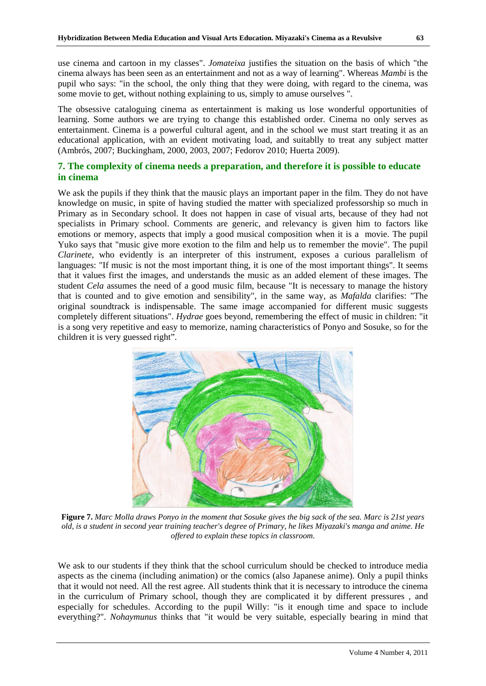use cinema and cartoon in my classes". *Jomateixa* justifies the situation on the basis of which "the cinema always has been seen as an entertainment and not as a way of learning". Whereas *Mambi* is the pupil who says: "in the school, the only thing that they were doing, with regard to the cinema, was some movie to get, without nothing explaining to us, simply to amuse ourselves ".

The obsessive cataloguing cinema as entertainment is making us lose wonderful opportunities of learning. Some authors we are trying to change this established order. Cinema no only serves as entertainment. Cinema is a powerful cultural agent, and in the school we must start treating it as an educational application, with an evident motivating load, and suitablly to treat any subject matter (Ambrós, 2007; Buckingham, 2000, 2003, 2007; Fedorov 2010; Huerta 2009).

# **7. The complexity of cinema needs a preparation, and therefore it is possible to educate in cinema**

We ask the pupils if they think that the mausic plays an important paper in the film. They do not have knowledge on music, in spite of having studied the matter with specialized professorship so much in Primary as in Secondary school. It does not happen in case of visual arts, because of they had not specialists in Primary school. Comments are generic, and relevancy is given him to factors like emotions or memory, aspects that imply a good musical composition when it is a movie. The pupil Yuko says that "music give more exotion to the film and help us to remember the movie". The pupil *Clarinete*, who evidently is an interpreter of this instrument, exposes a curious parallelism of languages: "If music is not the most important thing, it is one of the most important things". It seems that it values first the images, and understands the music as an added element of these images. The student *Cela* assumes the need of a good music film, because "It is necessary to manage the history that is counted and to give emotion and sensibility", in the same way, as *Mafalda* clarifies: "The original soundtrack is indispensable. The same image accompanied for different music suggests completely different situations". *Hydrae* goes beyond, remembering the effect of music in children: "it is a song very repetitive and easy to memorize, naming characteristics of Ponyo and Sosuke, so for the children it is very guessed right".



**Figure 7.** *Marc Molla draws Ponyo in the moment that Sosuke gives the big sack of the sea. Marc is 21st years old, is a student in second year training teacher's degree of Primary, he likes Miyazaki's manga and anime. He offered to explain these topics in classroom.* 

We ask to our students if they think that the school curriculum should be checked to introduce media aspects as the cinema (including animation) or the comics (also Japanese anime). Only a pupil thinks that it would not need. All the rest agree. All students think that it is necessary to introduce the cinema in the curriculum of Primary school, though they are complicated it by different pressures , and especially for schedules. According to the pupil Willy: "is it enough time and space to include everything?". *Nohaymunus* thinks that "it would be very suitable, especially bearing in mind that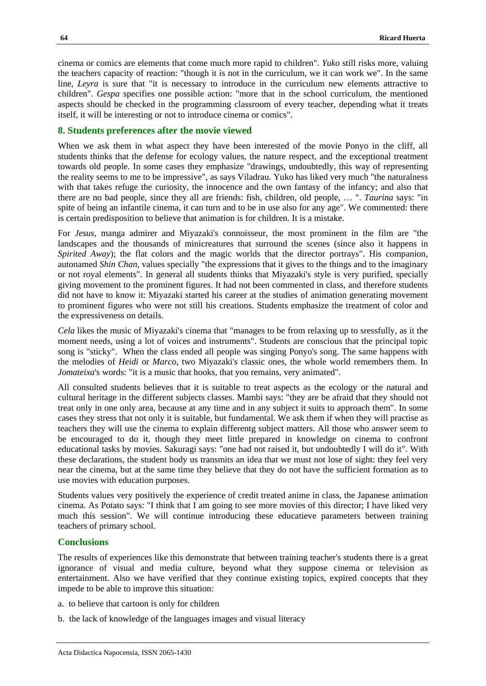cinema or comics are elements that come much more rapid to children". *Yuko* still risks more, valuing the teachers capacity of reaction: "though it is not in the curriculum, we it can work we". In the same line, *Leyra* is sure that "it is necessary to introduce in the curriculum new elements attractive to children". *Gespa* specifies one possible action: "more that in the school curriculum, the mentioned aspects should be checked in the programming classroom of every teacher, depending what it treats itself, it will be interesting or not to introduce cinema or comics".

## **8. Students preferences after the movie viewed**

When we ask them in what aspect they have been interested of the movie Ponyo in the cliff, all students thinks that the defense for ecology values, the nature respect, and the exceptional treatment towards old people. In some cases they emphasize "drawings, undoubtedly, this way of representing the reality seems to me to be impressive", as says Viladrau. Yuko has liked very much "the naturalness with that takes refuge the curiosity, the innocence and the own fantasy of the infancy; and also that there are no bad people, since they all are friends: fish, children, old people, … ". *Taurina* says: "in spite of being an infantile cinema, it can turn and to be in use also for any age". We commented: there is certain predisposition to believe that animation is for children. It is a mistake.

For *Jesus*, manga admirer and Miyazaki's connoisseur, the most prominent in the film are "the landscapes and the thousands of minicreatures that surround the scenes (since also it happens in *Spirited Away*); the flat colors and the magic worlds that the director portrays". His companion, autonamed *Shin Chan*, values specially "the expressions that it gives to the things and to the imaginary or not royal elements". In general all students thinks that Miyazaki's style is very purified, specially giving movement to the prominent figures. It had not been commented in class, and therefore students did not have to know it: Miyazaki started his career at the studies of animation generating movement to prominent figures who were not still his creations. Students emphasize the treatment of color and the expressiveness on details.

*Cela* likes the music of Miyazaki's cinema that "manages to be from relaxing up to sressfully, as it the moment needs, using a lot of voices and instruments". Students are conscious that the principal topic song is "sticky". When the class ended all people was singing Ponyo's song. The same happens with the melodies of *Heidi* or *Marco*, two Miyazaki's classic ones, the whole world remembers them. In *Jomateixa*'s words: "it is a music that hooks, that you remains, very animated".

All consulted students believes that it is suitable to treat aspects as the ecology or the natural and cultural heritage in the different subjects classes. Mambi says: "they are be afraid that they should not treat only in one only area, because at any time and in any subject it suits to approach them". In some cases they stress that not only it is suitable, but fundamental. We ask them if when they will practise as teachers they will use the cinema to explain differentg subject matters. All those who answer seem to be encouraged to do it, though they meet little prepared in knowledge on cinema to confront educational tasks by movies. Sakuragi says: "one had not raised it, but undoubtedly I will do it". With these declarations, the student body us transmits an idea that we must not lose of sight: they feel very near the cinema, but at the same time they believe that they do not have the sufficient formation as to use movies with education purposes.

Students values very positively the experience of credit treated anime in class, the Japanese animation cinema. As Potato says: "I think that I am going to see more movies of this director; I have liked very much this session". We will continue introducing these educatieve parameters between training teachers of primary school.

#### **Conclusions**

The results of experiences like this demonstrate that between training teacher's students there is a great ignorance of visual and media culture, beyond what they suppose cinema or television as entertainment. Also we have verified that they continue existing topics, expired concepts that they impede to be able to improve this situation:

- a. to believe that cartoon is only for children
- b. the lack of knowledge of the languages images and visual literacy